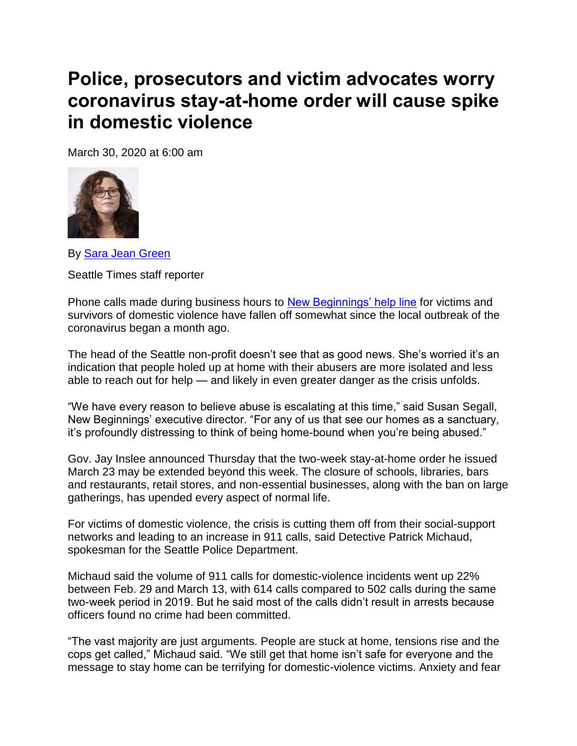## **Police, prosecutors and victim advocates worry coronavirus stay-at-home order will cause spike in domestic violence**

March 30, 2020 at 6:00 am



By [Sara Jean Green](https://www.seattletimes.com/author/sara-jean-green/)

Seattle Times staff reporter

Phone calls made during business hours to [New Beginnings' help line](https://www.newbegin.org/) for victims and survivors of domestic violence have fallen off somewhat since the local outbreak of the coronavirus began a month ago.

The head of the Seattle non-profit doesn't see that as good news. She's worried it's an indication that people holed up at home with their abusers are more isolated and less able to reach out for help — and likely in even greater danger as the crisis unfolds.

"We have every reason to believe abuse is escalating at this time," said Susan Segall, New Beginnings' executive director. "For any of us that see our homes as a sanctuary, it's profoundly distressing to think of being home-bound when you're being abused."

Gov. Jay Inslee announced Thursday that the two-week stay-at-home order he issued March 23 may be extended beyond this week. The closure of schools, libraries, bars and restaurants, retail stores, and non-essential businesses, along with the ban on large gatherings, has upended every aspect of normal life.

For victims of domestic violence, the crisis is cutting them off from their social-support networks and leading to an increase in 911 calls, said Detective Patrick Michaud, spokesman for the Seattle Police Department.

Michaud said the volume of 911 calls for domestic-violence incidents went up 22% between Feb. 29 and March 13, with 614 calls compared to 502 calls during the same two-week period in 2019. But he said most of the calls didn't result in arrests because officers found no crime had been committed.

"The vast majority are just arguments. People are stuck at home, tensions rise and the cops get called," Michaud said. "We still get that home isn't safe for everyone and the message to stay home can be terrifying for domestic-violence victims. Anxiety and fear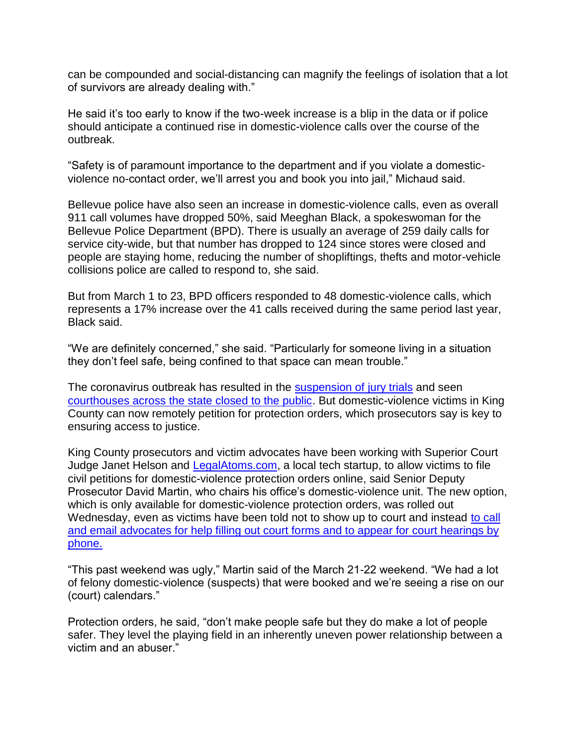can be compounded and social-distancing can magnify the feelings of isolation that a lot of survivors are already dealing with."

He said it's too early to know if the two-week increase is a blip in the data or if police should anticipate a continued rise in domestic-violence calls over the course of the outbreak.

"Safety is of paramount importance to the department and if you violate a domesticviolence no-contact order, we'll arrest you and book you into jail," Michaud said.

Bellevue police have also seen an increase in domestic-violence calls, even as overall 911 call volumes have dropped 50%, said Meeghan Black, a spokeswoman for the Bellevue Police Department (BPD). There is usually an average of 259 daily calls for service city-wide, but that number has dropped to 124 since stores were closed and people are staying home, reducing the number of shopliftings, thefts and motor-vehicle collisions police are called to respond to, she said.

But from March 1 to 23, BPD officers responded to 48 domestic-violence calls, which represents a 17% increase over the 41 calls received during the same period last year, Black said.

"We are definitely concerned," she said. "Particularly for someone living in a situation they don't feel safe, being confined to that space can mean trouble."

The coronavirus outbreak has resulted in the [suspension of jury trials](https://www.seattletimes.com/seattle-news/crime/king-county-superior-court-suspends-criminal-jury-trials-until-april-wont-be-sending-out-juror-summons/) and seen [courthouses across the state closed to the public.](http://www.courts.wa.gov/index.cfm?fa=home.courtClosures) But domestic-violence victims in King County can now remotely petition for protection orders, which prosecutors say is key to ensuring access to justice.

King County prosecutors and victim advocates have been working with Superior Court Judge Janet Helson and [LegalAtoms.com,](https://legalatoms.com/) a local tech startup, to allow victims to file civil petitions for domestic-violence protection orders online, said Senior Deputy Prosecutor David Martin, who chairs his office's domestic-violence unit. The new option, which is only available for domestic-violence protection orders, was rolled out Wednesday, even as victims have been told not to show up to court and instead to call [and email advocates for help filling out court forms and to appear for court hearings by](https://www.kingcounty.gov/~/media/depts/prosecutor/documents/2020/Protection_Order_Announcement.ashx?la=en)  [phone.](https://www.kingcounty.gov/~/media/depts/prosecutor/documents/2020/Protection_Order_Announcement.ashx?la=en)

"This past weekend was ugly," Martin said of the March 21-22 weekend. "We had a lot of felony domestic-violence (suspects) that were booked and we're seeing a rise on our (court) calendars."

Protection orders, he said, "don't make people safe but they do make a lot of people safer. They level the playing field in an inherently uneven power relationship between a victim and an abuser."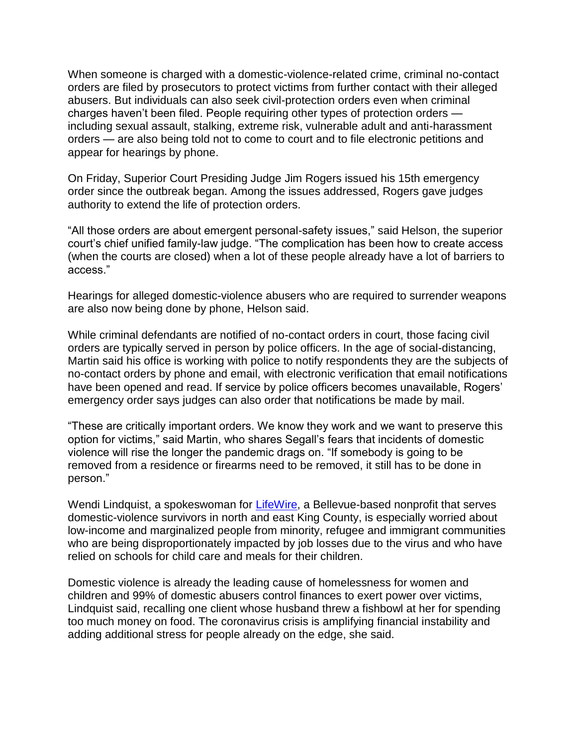When someone is charged with a domestic-violence-related crime, criminal no-contact orders are filed by prosecutors to protect victims from further contact with their alleged abusers. But individuals can also seek civil-protection orders even when criminal charges haven't been filed. People requiring other types of protection orders including sexual assault, stalking, extreme risk, vulnerable adult and anti-harassment orders — are also being told not to come to court and to file electronic petitions and appear for hearings by phone.

On Friday, Superior Court Presiding Judge Jim Rogers issued his 15th emergency order since the outbreak began. Among the issues addressed, Rogers gave judges authority to extend the life of protection orders.

"All those orders are about emergent personal-safety issues," said Helson, the superior court's chief unified family-law judge. "The complication has been how to create access (when the courts are closed) when a lot of these people already have a lot of barriers to access."

Hearings for alleged domestic-violence abusers who are required to surrender weapons are also now being done by phone, Helson said.

While criminal defendants are notified of no-contact orders in court, those facing civil orders are typically served in person by police officers. In the age of social-distancing, Martin said his office is working with police to notify respondents they are the subjects of no-contact orders by phone and email, with electronic verification that email notifications have been opened and read. If service by police officers becomes unavailable, Rogers' emergency order says judges can also order that notifications be made by mail.

"These are critically important orders. We know they work and we want to preserve this option for victims," said Martin, who shares Segall's fears that incidents of domestic violence will rise the longer the pandemic drags on. "If somebody is going to be removed from a residence or firearms need to be removed, it still has to be done in person."

Wendi Lindquist, a spokeswoman for [LifeWire,](https://www.lifewire.org/) a Bellevue-based nonprofit that serves domestic-violence survivors in north and east King County, is especially worried about low-income and marginalized people from minority, refugee and immigrant communities who are being disproportionately impacted by job losses due to the virus and who have relied on schools for child care and meals for their children.

Domestic violence is already the leading cause of homelessness for women and children and 99% of domestic abusers control finances to exert power over victims, Lindquist said, recalling one client whose husband threw a fishbowl at her for spending too much money on food. The coronavirus crisis is amplifying financial instability and adding additional stress for people already on the edge, she said.